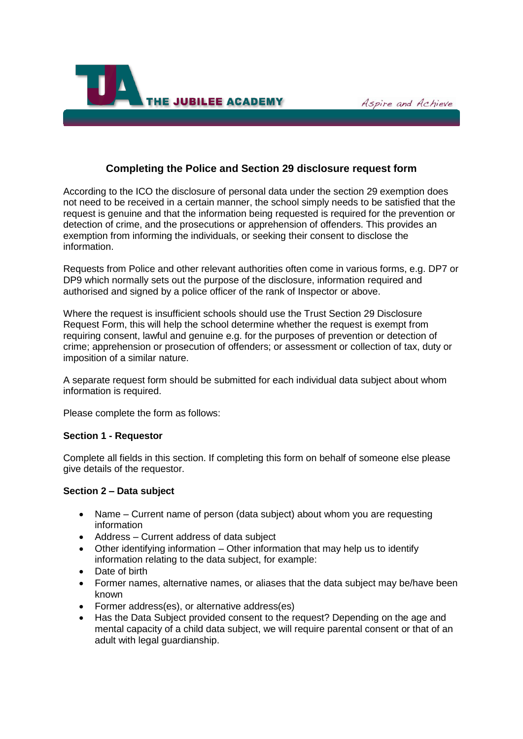



# **Completing the Police and Section 29 disclosure request form**

According to the ICO the disclosure of personal data under the section 29 exemption does not need to be received in a certain manner, the school simply needs to be satisfied that the request is genuine and that the information being requested is required for the prevention or detection of crime, and the prosecutions or apprehension of offenders. This provides an exemption from informing the individuals, or seeking their consent to disclose the information.

Requests from Police and other relevant authorities often come in various forms, e.g. DP7 or DP9 which normally sets out the purpose of the disclosure, information required and authorised and signed by a police officer of the rank of Inspector or above.

Where the request is insufficient schools should use the Trust Section 29 Disclosure Request Form, this will help the school determine whether the request is exempt from requiring consent, lawful and genuine e.g. for the purposes of prevention or detection of crime; apprehension or prosecution of offenders; or assessment or collection of tax, duty or imposition of a similar nature.

A separate request form should be submitted for each individual data subject about whom information is required.

Please complete the form as follows:

# **Section 1 - Requestor**

Complete all fields in this section. If completing this form on behalf of someone else please give details of the requestor.

# **Section 2 – Data subject**

- Name Current name of person (data subject) about whom you are requesting information
- Address Current address of data subject
- Other identifying information Other information that may help us to identify information relating to the data subject, for example:
- Date of birth
- Former names, alternative names, or aliases that the data subject may be/have been known
- Former address(es), or alternative address(es)
- Has the Data Subject provided consent to the request? Depending on the age and mental capacity of a child data subject, we will require parental consent or that of an adult with legal guardianship.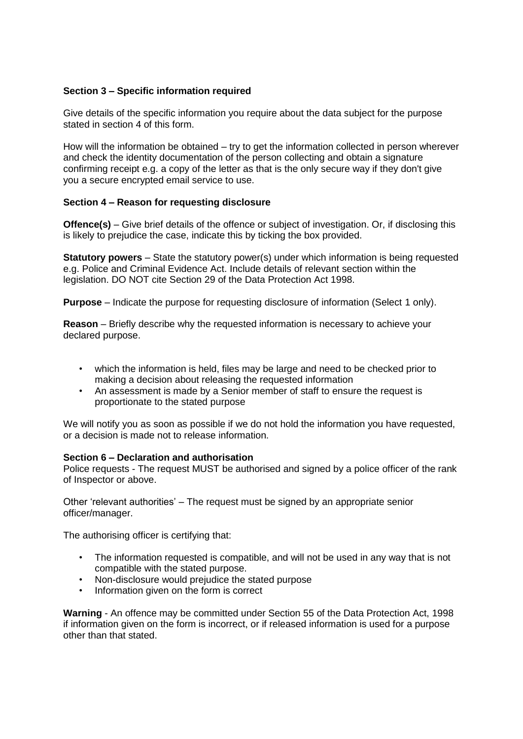# **Section 3 – Specific information required**

Give details of the specific information you require about the data subject for the purpose stated in section 4 of this form.

How will the information be obtained – try to get the information collected in person wherever and check the identity documentation of the person collecting and obtain a signature confirming receipt e.g. a copy of the letter as that is the only secure way if they don't give you a secure encrypted email service to use.

# **Section 4 – Reason for requesting disclosure**

**Offence(s)** – Give brief details of the offence or subject of investigation. Or, if disclosing this is likely to prejudice the case, indicate this by ticking the box provided.

**Statutory powers** – State the statutory power(s) under which information is being requested e.g. Police and Criminal Evidence Act. Include details of relevant section within the legislation. DO NOT cite Section 29 of the Data Protection Act 1998.

**Purpose** – Indicate the purpose for requesting disclosure of information (Select 1 only).

**Reason** – Briefly describe why the requested information is necessary to achieve your declared purpose.

- which the information is held, files may be large and need to be checked prior to making a decision about releasing the requested information
- An assessment is made by a Senior member of staff to ensure the request is proportionate to the stated purpose

We will notify you as soon as possible if we do not hold the information you have requested, or a decision is made not to release information.

# **Section 6 – Declaration and authorisation**

Police requests - The request MUST be authorised and signed by a police officer of the rank of Inspector or above.

Other 'relevant authorities' – The request must be signed by an appropriate senior officer/manager.

The authorising officer is certifying that:

- The information requested is compatible, and will not be used in any way that is not compatible with the stated purpose.
- Non-disclosure would prejudice the stated purpose
- Information given on the form is correct

**Warning** - An offence may be committed under Section 55 of the Data Protection Act, 1998 if information given on the form is incorrect, or if released information is used for a purpose other than that stated.